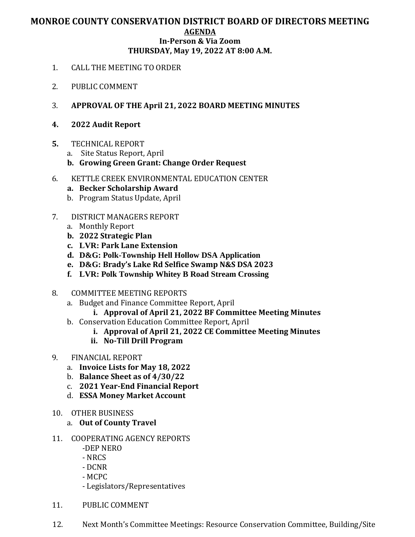## **MONROE COUNTY CONSERVATION DISTRICT BOARD OF DIRECTORS MEETING AGENDA In-Person & Via Zoom THURSDAY, May 19, 2022 AT 8:00 A.M.**

- 1. CALL THE MEETING TO ORDER
- 2. PUBLIC COMMENT
- 3. **APPROVAL OF THE April 21, 2022 BOARD MEETING MINUTES**
- **4. 2022 Audit Report**
- **5.** TECHNICAL REPORT
	- a. Site Status Report, April
	- **b. Growing Green Grant: Change Order Request**
- 6. KETTLE CREEK ENVIRONMENTAL EDUCATION CENTER
	- **a. Becker Scholarship Award**
	- b. Program Status Update, April
- 7. DISTRICT MANAGERS REPORT
	- a. Monthly Report
	- **b. 2022 Strategic Plan**
	- **c. LVR: Park Lane Extension**
	- **d. D&G: Polk-Township Hell Hollow DSA Application**
	- **e. D&G: Brady's Lake Rd Selfice Swamp N&S DSA 2023**
	- **f. LVR: Polk Township Whitey B Road Stream Crossing**
- 8. COMMITTEE MEETING REPORTS
	- a. Budget and Finance Committee Report, April
		- **i. Approval of April 21, 2022 BF Committee Meeting Minutes**
	- b. Conservation Education Committee Report, April
		- **i. Approval of April 21, 2022 CE Committee Meeting Minutes**
		- **ii. No-Till Drill Program**
- 9. FINANCIAL REPORT
	- a. **Invoice Lists for May 18, 2022**
	- b. **Balance Sheet as of 4/30/22**
	- c. **2021 Year-End Financial Report**
	- d. **ESSA Money Market Account**
- 10. OTHER BUSINESS
	- a. **Out of County Travel**
- 11. COOPERATING AGENCY REPORTS
	- -DEP NERO
	- NRCS
	- DCNR
	- MCPC
	- Legislators/Representatives
- 11. PUBLIC COMMENT
- 12. Next Month's Committee Meetings: Resource Conservation Committee, Building/Site